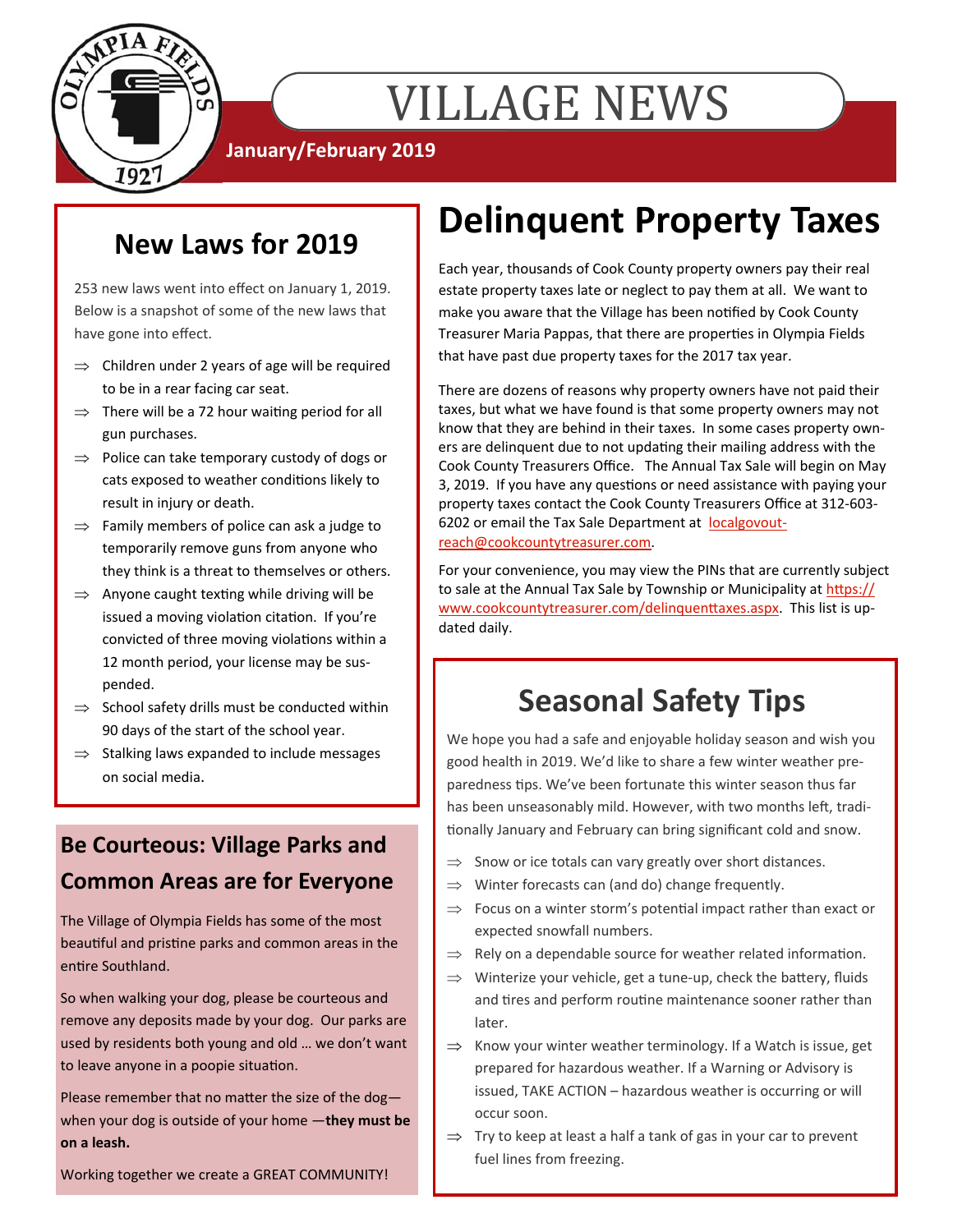

# VILLAGE NEWS

**January/February 2019** 

## **New Laws for 2019**

253 new laws went into effect on January 1, 2019. Below is a snapshot of some of the new laws that have gone into effect.

- $\Rightarrow$  Children under 2 years of age will be required to be in a rear facing car seat.
- $\Rightarrow$  There will be a 72 hour waiting period for all gun purchases.
- $\Rightarrow$  Police can take temporary custody of dogs or cats exposed to weather conditions likely to result in injury or death.
- $\Rightarrow$  Family members of police can ask a judge to temporarily remove guns from anyone who they think is a threat to themselves or others.
- $\Rightarrow$  Anyone caught texting while driving will be issued a moving violation citation. If you're convicted of three moving violations within a 12 month period, your license may be suspended.
- $\Rightarrow$  School safety drills must be conducted within 90 days of the start of the school year.
- $\Rightarrow$  Stalking laws expanded to include messages on social media.

### **Be Courteous: Village Parks and Common Areas are for Everyone**

The Village of Olympia Fields has some of the most beautiful and pristine parks and common areas in the entire Southland.

So when walking your dog, please be courteous and remove any deposits made by your dog. Our parks are used by residents both young and old … we don't want to leave anyone in a poopie situation.

Please remember that no matter the size of the dogwhen your dog is outside of your home —**they must be on a leash.** 

Working together we create a GREAT COMMUNITY!

## **Delinquent Property Taxes**

Each year, thousands of Cook County property owners pay their real estate property taxes late or neglect to pay them at all. We want to make you aware that the Village has been notified by Cook County Treasurer Maria Pappas, that there are properties in Olympia Fields that have past due property taxes for the 2017 tax year.

There are dozens of reasons why property owners have not paid their taxes, but what we have found is that some property owners may not know that they are behind in their taxes. In some cases property owners are delinquent due to not updating their mailing address with the Cook County Treasurers Office. The Annual Tax Sale will begin on May 3, 2019. If you have any questions or need assistance with paying your property taxes contact the Cook County Treasurers Office at 312-603- 6202 or email the Tax Sale Department at localgovoutreach@cookcountytreasurer.com.

For your convenience, you may view the PINs that are currently subject to sale at the Annual Tax Sale by Township or Municipality at https:// www.cookcountytreasurer.com/delinquenttaxes.aspx. This list is updated daily.

## **Seasonal Safety Tips**

We hope you had a safe and enjoyable holiday season and wish you good health in 2019. We'd like to share a few winter weather preparedness tips. We've been fortunate this winter season thus far has been unseasonably mild. However, with two months left, traditionally January and February can bring significant cold and snow.

- $\Rightarrow$  Snow or ice totals can vary greatly over short distances.
- $\implies$  Winter forecasts can (and do) change frequently.
- $\Rightarrow$  Focus on a winter storm's potential impact rather than exact or expected snowfall numbers.
- $\Rightarrow$  Rely on a dependable source for weather related information.
- $\Rightarrow$  Winterize your vehicle, get a tune-up, check the battery, fluids and tires and perform routine maintenance sooner rather than later.
- $\Rightarrow$  Know your winter weather terminology. If a Watch is issue, get prepared for hazardous weather. If a Warning or Advisory is issued, TAKE ACTION – hazardous weather is occurring or will occur soon.
- $\Rightarrow$  Try to keep at least a half a tank of gas in your car to prevent fuel lines from freezing.